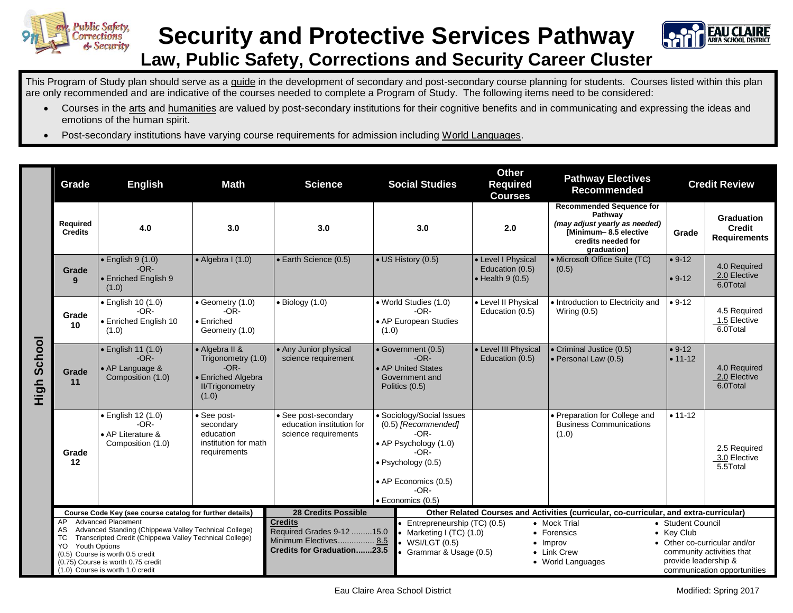

## **Security and Protective Services Pathway Law, Public Safety, Corrections and Security Career Cluster**



This Program of Study plan should serve as a guide in the development of secondary and post-secondary course planning for students. Courses listed within this plan are only recommended and are indicative of the courses needed to complete a Program of Study. The following items need to be considered:

- Courses in the arts and humanities are valued by post-secondary institutions for their cognitive benefits and in communicating and expressing the ideas and emotions of the human spirit.
- Post-secondary institutions have varying course requirements for admission including World Languages.

|                | Grade                                                    | <b>English</b>                                                                                                                                                                                                                                              | <b>Math</b>                                                                                             | <b>Science</b>                                                                                     | <b>Social Studies</b>                                                                                                                                                          | <b>Other</b><br><b>Required</b><br><b>Courses</b>                                      | <b>Pathway Electives</b><br><b>Recommended</b>                                                                                            | <b>Credit Review</b>                                    |                                                                                          |
|----------------|----------------------------------------------------------|-------------------------------------------------------------------------------------------------------------------------------------------------------------------------------------------------------------------------------------------------------------|---------------------------------------------------------------------------------------------------------|----------------------------------------------------------------------------------------------------|--------------------------------------------------------------------------------------------------------------------------------------------------------------------------------|----------------------------------------------------------------------------------------|-------------------------------------------------------------------------------------------------------------------------------------------|---------------------------------------------------------|------------------------------------------------------------------------------------------|
|                | <b>Required</b><br><b>Credits</b>                        | 4.0                                                                                                                                                                                                                                                         | 3.0                                                                                                     | 3.0                                                                                                | 3.0                                                                                                                                                                            | 2.0                                                                                    | <b>Recommended Sequence for</b><br>Pathway<br>(may adjust yearly as needed)<br>[Minimum-8.5 elective<br>credits needed for<br>graduation] | Grade                                                   | Graduation<br><b>Credit</b><br><b>Requirements</b>                                       |
|                | Grade<br>$\mathbf{q}$                                    | $\bullet$ English 9 (1.0)<br>$-OR-$<br><b>• Enriched English 9</b><br>(1.0)                                                                                                                                                                                 | $\bullet$ Algebra I (1.0)                                                                               | • Earth Science (0.5)                                                                              | • US History (0.5)                                                                                                                                                             | • Level I Physical<br>Education (0.5)<br>$\bullet$ Health 9 (0.5)                      | • Microsoft Office Suite (TC)<br>(0.5)                                                                                                    | $• 9-12$<br>$• 9-12$                                    | 4.0 Required<br>2.0 Elective<br>6.0Total                                                 |
| School<br>High | Grade<br>10                                              | • English 10 (1.0)<br>$-OR-$<br>• Enriched English 10<br>(1.0)                                                                                                                                                                                              | $\bullet$ Geometry $(1.0)$<br>$-OR-$<br>$\bullet$ Enriched<br>Geometry (1.0)                            | $\bullet$ Biology (1.0)                                                                            | . World Studies (1.0)<br>$-OR-$<br>• AP European Studies<br>(1.0)                                                                                                              | • Level II Physical<br>Education (0.5)                                                 | • Introduction to Electricity and<br>Wiring $(0.5)$                                                                                       | $• 9-12$                                                | 4.5 Required<br>1.5 Elective<br>6.0Total                                                 |
|                | Grade<br>11                                              | • English 11 (1.0)<br>$-OR-$<br>• AP Language &<br>Composition (1.0)                                                                                                                                                                                        | • Algebra II &<br>Trigonometry (1.0)<br>$-OR-$<br>• Enriched Algebra<br><b>II/Trigonometry</b><br>(1.0) | • Any Junior physical<br>science requirement                                                       | • Government (0.5)<br>$-OR-$<br>• AP United States<br>Government and<br>Politics (0.5)                                                                                         | • Level III Physical<br>Education (0.5)                                                | • Criminal Justice (0.5)<br>• Personal Law (0.5)                                                                                          | $• 9-12$<br>$• 11-12$                                   | 4.0 Required<br>2.0 Elective<br>6.0Total                                                 |
|                | Grade<br>12                                              | · English 12 (1.0)<br>$-OR-$<br>• AP Literature &<br>Composition (1.0)                                                                                                                                                                                      | · See post-<br>secondary<br>education<br>institution for math<br>requirements                           | • See post-secondary<br>education institution for<br>science requirements                          | • Sociology/Social Issues<br>(0.5) [Recommended]<br>$-OR-$<br>• AP Psychology (1.0)<br>-OR-<br>· Psychology (0.5)<br>• AP Economics (0.5)<br>-OR-<br>$\bullet$ Economics (0.5) |                                                                                        | • Preparation for College and<br><b>Business Communications</b><br>(1.0)                                                                  | $• 11 - 12$                                             | 2.5 Required<br>3.0 Elective<br>5.5Total                                                 |
|                | Course Code Key (see course catalog for further details) |                                                                                                                                                                                                                                                             |                                                                                                         | 28 Credits Possible                                                                                |                                                                                                                                                                                | Other Related Courses and Activities (curricular, co-curricular, and extra-curricular) |                                                                                                                                           |                                                         |                                                                                          |
|                | AP<br>AS<br>ТC<br><b>Youth Options</b><br>YO.            | <b>Advanced Placement</b><br>Advanced Standing (Chippewa Valley Technical College)<br>Transcripted Credit (Chippewa Valley Technical College)<br>(0.5) Course is worth 0.5 credit<br>(0.75) Course is worth 0.75 credit<br>(1.0) Course is worth 1.0 credit |                                                                                                         | <b>Credits</b><br>Required Grades 9-12 15.0<br>Minimum Electives 8.5<br>Credits for Graduation23.5 | • Entrepreneurship (TC) (0.5)<br>• Marketing I (TC) $(1.0)$<br>WSI/LGT(0.5)<br>• Grammar & Usage (0.5)                                                                         |                                                                                        | • Mock Trial<br>• Forensics<br>$\bullet$ Improv<br>• Link Crew<br>• World Languages                                                       | • Student Council<br>• Kev Club<br>provide leadership & | • Other co-curricular and/or<br>community activities that<br>communication opportunities |